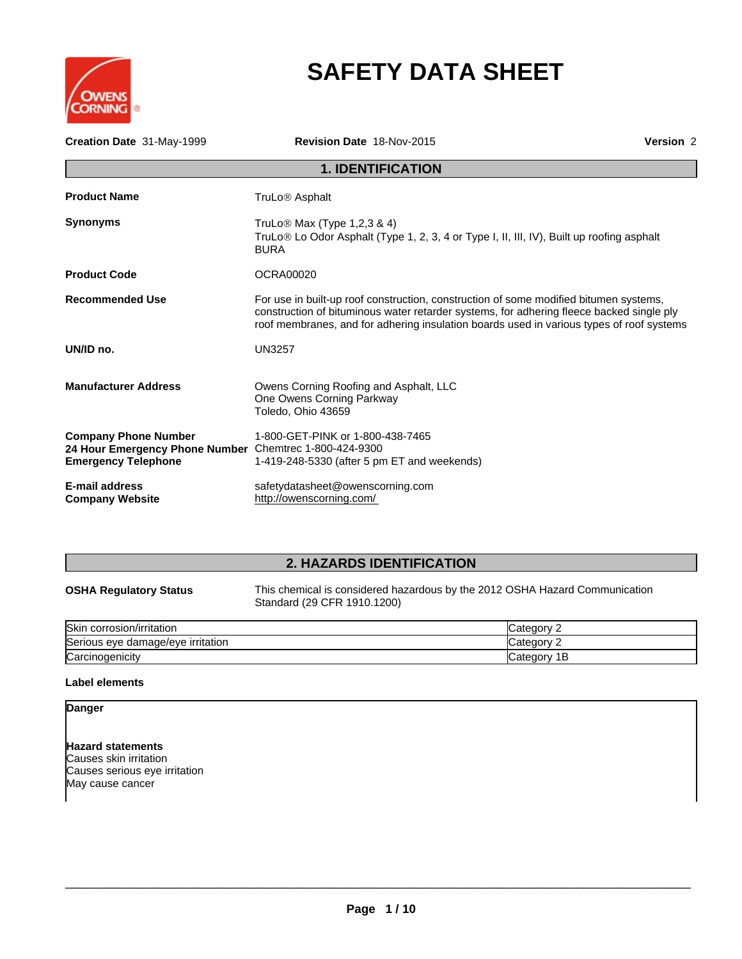

# **SAFETY DATA SHEET**

| Creation Date 31-May-1999                                                                                           | Revision Date 18-Nov-2015                                                                                                                                                                                                                                                     | Version 2 |
|---------------------------------------------------------------------------------------------------------------------|-------------------------------------------------------------------------------------------------------------------------------------------------------------------------------------------------------------------------------------------------------------------------------|-----------|
|                                                                                                                     | <b>1. IDENTIFICATION</b>                                                                                                                                                                                                                                                      |           |
| <b>Product Name</b>                                                                                                 | TruLo <sup>®</sup> Asphalt                                                                                                                                                                                                                                                    |           |
| <b>Synonyms</b>                                                                                                     | TruLo <sup>®</sup> Max (Type 1,2,3 & 4)<br>TruLo <sup>®</sup> Lo Odor Asphalt (Type 1, 2, 3, 4 or Type I, II, III, IV), Built up roofing asphalt<br><b>BURA</b>                                                                                                               |           |
| <b>Product Code</b>                                                                                                 | OCRA00020                                                                                                                                                                                                                                                                     |           |
| <b>Recommended Use</b>                                                                                              | For use in built-up roof construction, construction of some modified bitumen systems,<br>construction of bituminous water retarder systems, for adhering fleece backed single ply<br>roof membranes, and for adhering insulation boards used in various types of roof systems |           |
| UN/ID no.                                                                                                           | <b>UN3257</b>                                                                                                                                                                                                                                                                 |           |
| <b>Manufacturer Address</b>                                                                                         | Owens Corning Roofing and Asphalt, LLC<br>One Owens Corning Parkway<br>Toledo, Ohio 43659                                                                                                                                                                                     |           |
| <b>Company Phone Number</b><br>24 Hour Emergency Phone Number Chemtrec 1-800-424-9300<br><b>Emergency Telephone</b> | 1-800-GET-PINK or 1-800-438-7465<br>1-419-248-5330 (after 5 pm ET and weekends)                                                                                                                                                                                               |           |
| E-mail address<br><b>Company Website</b>                                                                            | safetydatasheet@owenscorning.com<br>http://owenscorning.com/                                                                                                                                                                                                                  |           |

# **2. HAZARDS IDENTIFICATION**

| .                             |                                                                                                            | -- |  |
|-------------------------------|------------------------------------------------------------------------------------------------------------|----|--|
| <b>OSHA Regulatory Status</b> | This chemical is considered hazardous by the 2012 OSHA Hazard Communication<br>Standard (29 CFR 1910.1200) |    |  |

| <b>Skin</b><br><b>TOSIOI</b><br>n/irritation<br>.orr |   |
|------------------------------------------------------|---|
| Seriou<br><b>irritation</b><br>damage/eve<br>eve     |   |
| Carcinogenicity                                      | E |

### **Label elements**

**Danger**

**Hazard statements** Causes skin irritation Causes serious eye irritation May cause cancer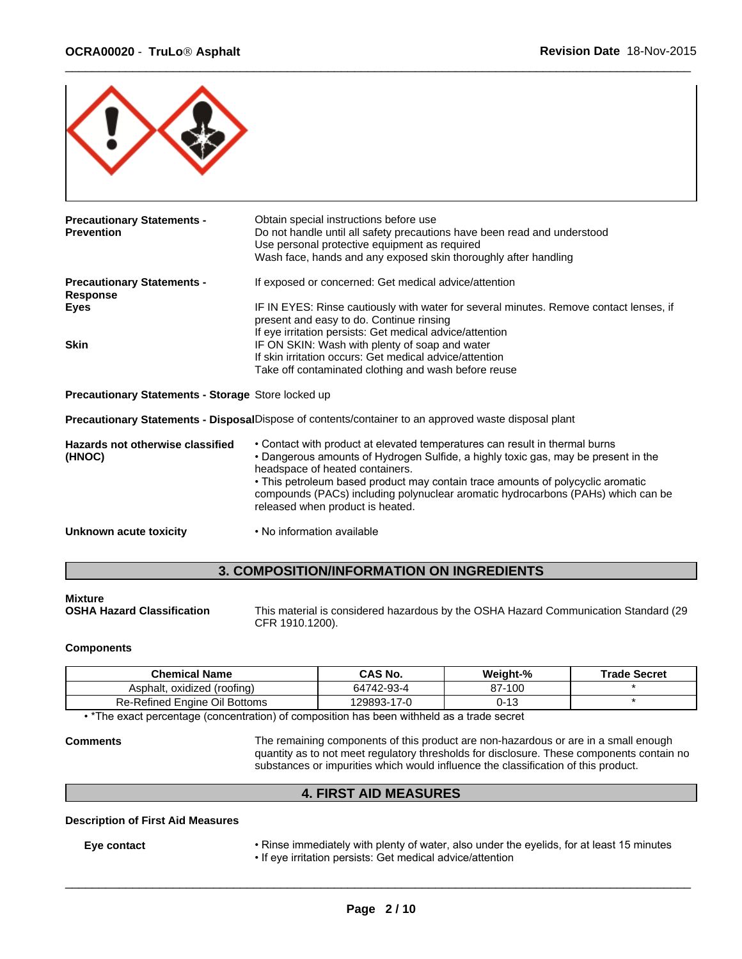

| <b>Precautionary Statements -</b>                  | Obtain special instructions before use                                                               |  |
|----------------------------------------------------|------------------------------------------------------------------------------------------------------|--|
| <b>Prevention</b>                                  | Do not handle until all safety precautions have been read and understood                             |  |
|                                                    | Use personal protective equipment as required                                                        |  |
|                                                    | Wash face, hands and any exposed skin thoroughly after handling                                      |  |
| <b>Precautionary Statements -</b><br>Response      | If exposed or concerned: Get medical advice/attention                                                |  |
| <b>Eyes</b>                                        | IF IN EYES: Rinse cautiously with water for several minutes. Remove contact lenses, if               |  |
|                                                    | present and easy to do. Continue rinsing                                                             |  |
|                                                    | If eye irritation persists: Get medical advice/attention                                             |  |
| <b>Skin</b>                                        | IF ON SKIN: Wash with plenty of soap and water                                                       |  |
|                                                    | If skin irritation occurs: Get medical advice/attention                                              |  |
|                                                    | Take off contaminated clothing and wash before reuse                                                 |  |
| Precautionary Statements - Storage Store locked up |                                                                                                      |  |
|                                                    | Precautionary Statements - DisposalDispose of contents/container to an approved waste disposal plant |  |
| Hazards not otherwise classified                   | • Contact with product at elevated temperatures can result in thermal burns                          |  |
| (HNOC)                                             | • Dangerous amounts of Hydrogen Sulfide, a highly toxic gas, may be present in the                   |  |
|                                                    | headspace of heated containers.                                                                      |  |
|                                                    | • This petroleum based product may contain trace amounts of polycyclic aromatic                      |  |
|                                                    | compounds (PACs) including polynuclear aromatic hydrocarbons (PAHs) which can be                     |  |
|                                                    | released when product is heated.                                                                     |  |
| Unknown acute toxicity                             | • No information available                                                                           |  |
|                                                    |                                                                                                      |  |

### **3. COMPOSITION/INFORMATION ON INGREDIENTS**

# **Mixture**

**OSHA Hazard Classification** This material is considered hazardous by the OSHA Hazard Communication Standard (29 CFR 1910.1200).

#### **Components**

| Chemical Name                                                                              | <b>CAS No.</b> | Weight-% | <b>Trade Secret</b> |
|--------------------------------------------------------------------------------------------|----------------|----------|---------------------|
| Asphalt, oxidized (roofing)                                                                | 64742-93-4     | 87-100   |                     |
| <b>Re-Refined Engine Oil Bottoms</b>                                                       | 129893-17-0    | 0-13     |                     |
| . *The exact persontage (consentration) of composition has been withhold as a trade coaret |                |          |                     |

• \*The exact percentage (concentration) of composition has been withheld as a trade secret

**Comments** The remaining components of this product are non-hazardous or are in a small enough quantity as to not meet regulatory thresholds for disclosure. These components contain no substances or impurities which would influence the classification of this product.

### **4. FIRST AID MEASURES**

#### **Description of First Aid Measures**

Eye contact **• Finse immediately with plenty of water, also under the eyelids, for at least 15 minutes** • If eye irritation persists: Get medical advice/attention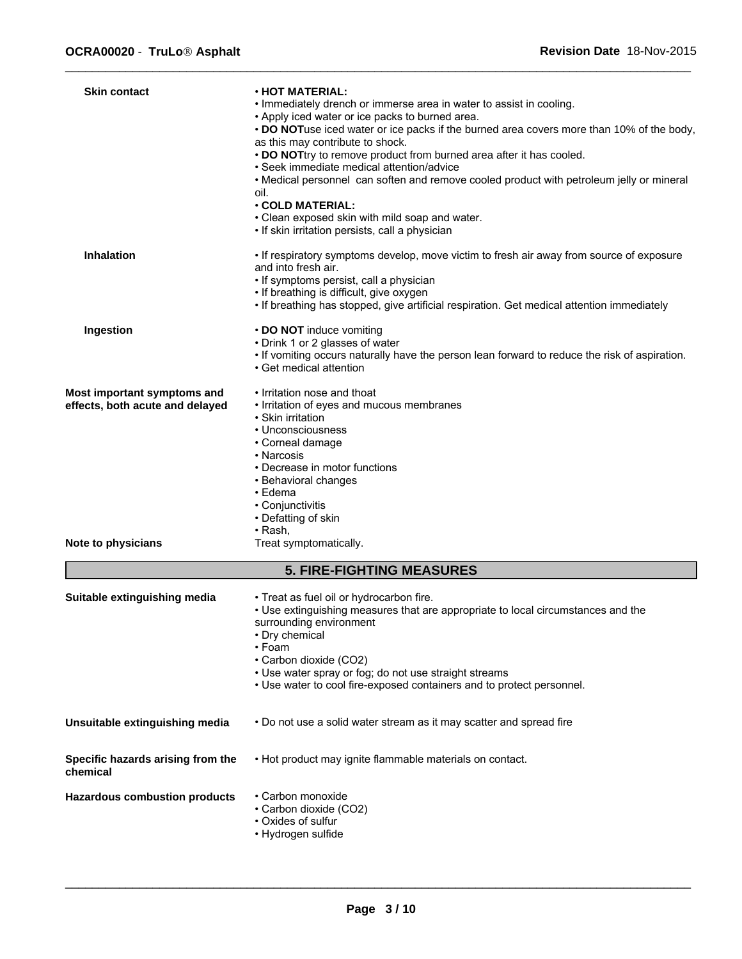| <b>Skin contact</b>                           | <b>· HOT MATERIAL:</b>                                                                                                   |
|-----------------------------------------------|--------------------------------------------------------------------------------------------------------------------------|
|                                               | . Immediately drench or immerse area in water to assist in cooling.<br>• Apply iced water or ice packs to burned area.   |
|                                               | • DO NOTuse iced water or ice packs if the burned area covers more than 10% of the body,                                 |
|                                               | as this may contribute to shock.<br>. DO NOTtry to remove product from burned area after it has cooled.                  |
|                                               | · Seek immediate medical attention/advice                                                                                |
|                                               | • Medical personnel can soften and remove cooled product with petroleum jelly or mineral                                 |
|                                               | oil.                                                                                                                     |
|                                               | $\cdot$ COLD MATERIAL:<br>• Clean exposed skin with mild soap and water.                                                 |
|                                               | • If skin irritation persists, call a physician                                                                          |
| <b>Inhalation</b>                             |                                                                                                                          |
|                                               | If respiratory symptoms develop, move victim to fresh air away from source of exposure<br>and into fresh air.            |
|                                               | • If symptoms persist, call a physician                                                                                  |
|                                               | • If breathing is difficult, give oxygen                                                                                 |
|                                               | • If breathing has stopped, give artificial respiration. Get medical attention immediately                               |
| Ingestion                                     | • DO NOT induce vomiting                                                                                                 |
|                                               | • Drink 1 or 2 glasses of water                                                                                          |
|                                               | . If vomiting occurs naturally have the person lean forward to reduce the risk of aspiration.<br>• Get medical attention |
| Most important symptoms and                   | • Irritation nose and thoat                                                                                              |
| effects, both acute and delayed               | • Irritation of eyes and mucous membranes                                                                                |
|                                               | • Skin irritation<br>• Unconsciousness                                                                                   |
|                                               | • Corneal damage                                                                                                         |
|                                               | • Narcosis                                                                                                               |
|                                               | • Decrease in motor functions                                                                                            |
|                                               | • Behavioral changes                                                                                                     |
|                                               | $\cdot$ Edema<br>• Conjunctivitis                                                                                        |
|                                               | • Defatting of skin                                                                                                      |
|                                               | $\cdot$ Rash,                                                                                                            |
| Note to physicians                            | Treat symptomatically.                                                                                                   |
|                                               | <b>5. FIRE-FIGHTING MEASURES</b>                                                                                         |
| Suitable extinguishing media                  | • Treat as fuel oil or hydrocarbon fire.                                                                                 |
|                                               | • Use extinguishing measures that are appropriate to local circumstances and the                                         |
|                                               | surrounding environment<br>• Dry chemical                                                                                |
|                                               | • Foam                                                                                                                   |
|                                               | • Carbon dioxide (CO2)                                                                                                   |
|                                               | • Use water spray or fog; do not use straight streams                                                                    |
|                                               | • Use water to cool fire-exposed containers and to protect personnel.                                                    |
| Unsuitable extinguishing media                | . Do not use a solid water stream as it may scatter and spread fire                                                      |
| Specific hazards arising from the<br>chemical | • Hot product may ignite flammable materials on contact.                                                                 |
| <b>Hazardous combustion products</b>          | • Carbon monoxide                                                                                                        |
|                                               | • Carbon dioxide (CO2)                                                                                                   |
|                                               | • Oxides of sulfur<br>• Hydrogen sulfide                                                                                 |
|                                               |                                                                                                                          |
|                                               |                                                                                                                          |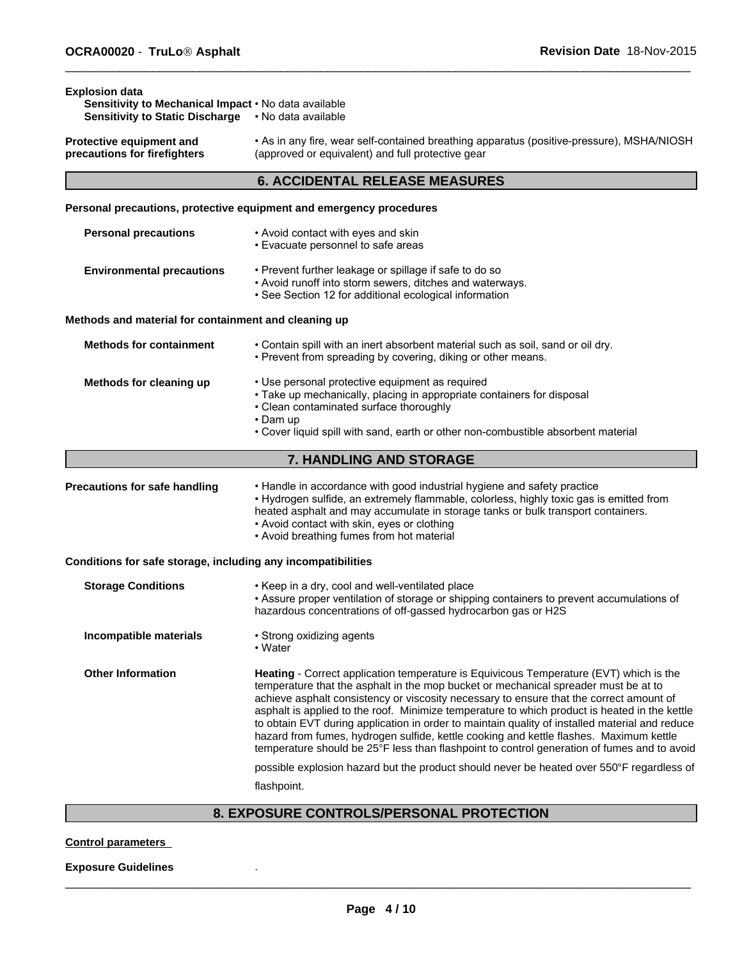**Explosion data**

| Protective equipment and<br>precautions for firefighters     | • As in any fire, wear self-contained breathing apparatus (positive-pressure), MSHA/NIOSH<br>(approved or equivalent) and full protective gear                                                                                                                                                                                                                                                                                                                                                                                                                                                                                                                       |
|--------------------------------------------------------------|----------------------------------------------------------------------------------------------------------------------------------------------------------------------------------------------------------------------------------------------------------------------------------------------------------------------------------------------------------------------------------------------------------------------------------------------------------------------------------------------------------------------------------------------------------------------------------------------------------------------------------------------------------------------|
|                                                              | <b>6. ACCIDENTAL RELEASE MEASURES</b>                                                                                                                                                                                                                                                                                                                                                                                                                                                                                                                                                                                                                                |
|                                                              | Personal precautions, protective equipment and emergency procedures                                                                                                                                                                                                                                                                                                                                                                                                                                                                                                                                                                                                  |
| <b>Personal precautions</b>                                  | • Avoid contact with eyes and skin<br>• Evacuate personnel to safe areas                                                                                                                                                                                                                                                                                                                                                                                                                                                                                                                                                                                             |
| <b>Environmental precautions</b>                             | • Prevent further leakage or spillage if safe to do so<br>• Avoid runoff into storm sewers, ditches and waterways.<br>• See Section 12 for additional ecological information                                                                                                                                                                                                                                                                                                                                                                                                                                                                                         |
| Methods and material for containment and cleaning up         |                                                                                                                                                                                                                                                                                                                                                                                                                                                                                                                                                                                                                                                                      |
| <b>Methods for containment</b>                               | . Contain spill with an inert absorbent material such as soil, sand or oil dry.<br>• Prevent from spreading by covering, diking or other means.                                                                                                                                                                                                                                                                                                                                                                                                                                                                                                                      |
| Methods for cleaning up                                      | • Use personal protective equipment as required<br>• Take up mechanically, placing in appropriate containers for disposal<br>• Clean contaminated surface thoroughly<br>$\cdot$ Dam up<br>• Cover liquid spill with sand, earth or other non-combustible absorbent material                                                                                                                                                                                                                                                                                                                                                                                          |
|                                                              | 7. HANDLING AND STORAGE                                                                                                                                                                                                                                                                                                                                                                                                                                                                                                                                                                                                                                              |
| Precautions for safe handling                                | • Handle in accordance with good industrial hygiene and safety practice<br>• Hydrogen sulfide, an extremely flammable, colorless, highly toxic gas is emitted from<br>heated asphalt and may accumulate in storage tanks or bulk transport containers.<br>• Avoid contact with skin, eyes or clothing<br>• Avoid breathing fumes from hot material                                                                                                                                                                                                                                                                                                                   |
| Conditions for safe storage, including any incompatibilities |                                                                                                                                                                                                                                                                                                                                                                                                                                                                                                                                                                                                                                                                      |
| <b>Storage Conditions</b>                                    | • Keep in a dry, cool and well-ventilated place<br>• Assure proper ventilation of storage or shipping containers to prevent accumulations of<br>hazardous concentrations of off-gassed hydrocarbon gas or H2S                                                                                                                                                                                                                                                                                                                                                                                                                                                        |
| Incompatible materials                                       | • Strong oxidizing agents<br>• Water                                                                                                                                                                                                                                                                                                                                                                                                                                                                                                                                                                                                                                 |
| <b>Other Information</b>                                     | Heating - Correct application temperature is Equivicous Temperature (EVT) which is the<br>temperature that the asphalt in the mop bucket or mechanical spreader must be at to<br>achieve asphalt consistency or viscosity necessary to ensure that the correct amount of<br>asphalt is applied to the roof. Minimize temperature to which product is heated in the kettle<br>to obtain EVT during application in order to maintain quality of installed material and reduce<br>hazard from fumes, hydrogen sulfide, kettle cooking and kettle flashes. Maximum kettle<br>temperature should be 25°F less than flashpoint to control generation of fumes and to avoid |
|                                                              | possible explosion hazard but the product should never be heated over 550°F regardless of                                                                                                                                                                                                                                                                                                                                                                                                                                                                                                                                                                            |
|                                                              | flashpoint.                                                                                                                                                                                                                                                                                                                                                                                                                                                                                                                                                                                                                                                          |

 $\overline{\phantom{a}}$  ,  $\overline{\phantom{a}}$  ,  $\overline{\phantom{a}}$  ,  $\overline{\phantom{a}}$  ,  $\overline{\phantom{a}}$  ,  $\overline{\phantom{a}}$  ,  $\overline{\phantom{a}}$  ,  $\overline{\phantom{a}}$  ,  $\overline{\phantom{a}}$  ,  $\overline{\phantom{a}}$  ,  $\overline{\phantom{a}}$  ,  $\overline{\phantom{a}}$  ,  $\overline{\phantom{a}}$  ,  $\overline{\phantom{a}}$  ,  $\overline{\phantom{a}}$  ,  $\overline{\phantom{a}}$ 

**Sensitivity to Mechanical Impact •** No data available **Sensitivity to Static Discharge** •Nodataavailable

#### **Control parameters**

#### **Exposure Guidelines** .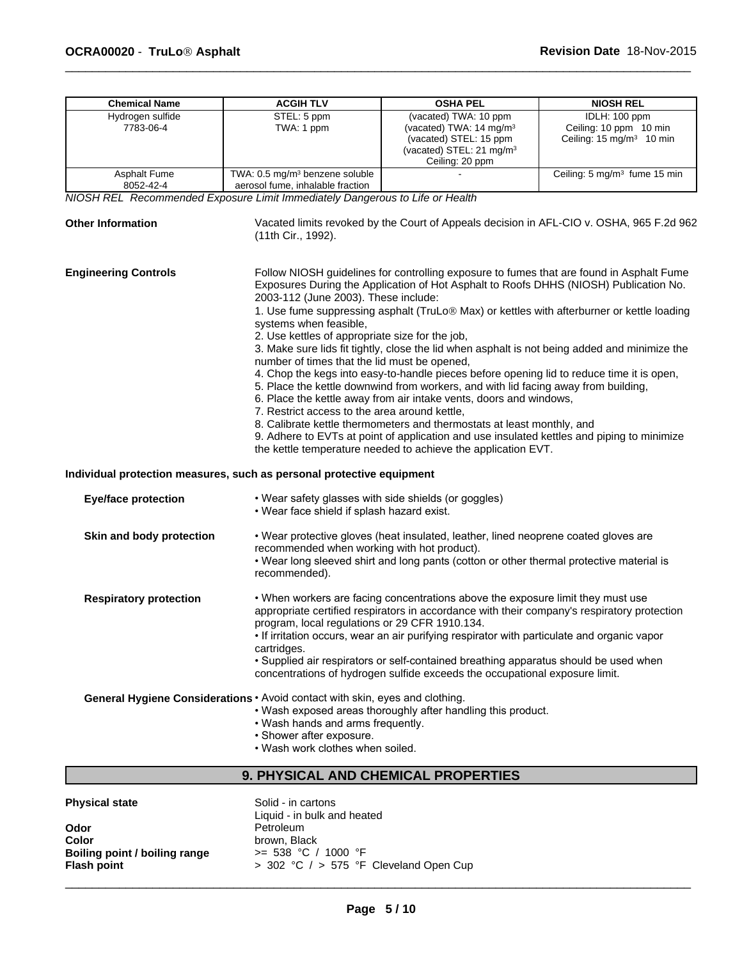| <b>Chemical Name</b>             | <b>ACGIH TLV</b>                                                                                                                                                                                                   | <b>OSHA PEL</b>                                                                                                                                                                                                                                                                                                                                                                                                                                                                                | <b>NIOSH REL</b>                                                                                                                                                                                                                                                                                                                                                                 |
|----------------------------------|--------------------------------------------------------------------------------------------------------------------------------------------------------------------------------------------------------------------|------------------------------------------------------------------------------------------------------------------------------------------------------------------------------------------------------------------------------------------------------------------------------------------------------------------------------------------------------------------------------------------------------------------------------------------------------------------------------------------------|----------------------------------------------------------------------------------------------------------------------------------------------------------------------------------------------------------------------------------------------------------------------------------------------------------------------------------------------------------------------------------|
| Hydrogen sulfide<br>7783-06-4    | STEL: 5 ppm<br>TWA: 1 ppm                                                                                                                                                                                          | (vacated) TWA: 10 ppm<br>(vacated) TWA: 14 mg/m <sup>3</sup><br>(vacated) STEL: 15 ppm<br>(vacated) STEL: 21 mg/m <sup>3</sup><br>Ceiling: 20 ppm                                                                                                                                                                                                                                                                                                                                              | IDLH: 100 ppm<br>Ceiling: 10 ppm 10 min<br>Ceiling: 15 mg/m <sup>3</sup> 10 min                                                                                                                                                                                                                                                                                                  |
| <b>Asphalt Fume</b><br>8052-42-4 | TWA: 0.5 mg/m <sup>3</sup> benzene soluble<br>aerosol fume, inhalable fraction                                                                                                                                     |                                                                                                                                                                                                                                                                                                                                                                                                                                                                                                | Ceiling: 5 mg/m <sup>3</sup> fume 15 min                                                                                                                                                                                                                                                                                                                                         |
|                                  | NIOSH REL Recommended Exposure Limit Immediately Dangerous to Life or Health                                                                                                                                       |                                                                                                                                                                                                                                                                                                                                                                                                                                                                                                |                                                                                                                                                                                                                                                                                                                                                                                  |
| <b>Other Information</b>         | (11th Cir., 1992).                                                                                                                                                                                                 |                                                                                                                                                                                                                                                                                                                                                                                                                                                                                                | Vacated limits revoked by the Court of Appeals decision in AFL-CIO v. OSHA, 965 F.2d 962                                                                                                                                                                                                                                                                                         |
| <b>Engineering Controls</b>      | 2003-112 (June 2003). These include:<br>systems when feasible,<br>2. Use kettles of appropriate size for the job,<br>number of times that the lid must be opened,<br>7. Restrict access to the area around kettle, | 4. Chop the kegs into easy-to-handle pieces before opening lid to reduce time it is open,<br>5. Place the kettle downwind from workers, and with lid facing away from building,<br>6. Place the kettle away from air intake vents, doors and windows,<br>8. Calibrate kettle thermometers and thermostats at least monthly, and<br>9. Adhere to EVTs at point of application and use insulated kettles and piping to minimize<br>the kettle temperature needed to achieve the application EVT. | Follow NIOSH guidelines for controlling exposure to fumes that are found in Asphalt Fume<br>Exposures During the Application of Hot Asphalt to Roofs DHHS (NIOSH) Publication No.<br>1. Use fume suppressing asphalt (TruLo® Max) or kettles with afterburner or kettle loading<br>3. Make sure lids fit tightly, close the lid when asphalt is not being added and minimize the |
| <b>Eye/face protection</b>       | Individual protection measures, such as personal protective equipment<br>• Wear safety glasses with side shields (or goggles)<br>• Wear face shield if splash hazard exist.                                        |                                                                                                                                                                                                                                                                                                                                                                                                                                                                                                |                                                                                                                                                                                                                                                                                                                                                                                  |
| Skin and body protection         | recommended when working with hot product).<br>recommended).                                                                                                                                                       | . Wear protective gloves (heat insulated, leather, lined neoprene coated gloves are<br>. Wear long sleeved shirt and long pants (cotton or other thermal protective material is                                                                                                                                                                                                                                                                                                                |                                                                                                                                                                                                                                                                                                                                                                                  |
| <b>Respiratory protection</b>    | program, local regulations or 29 CFR 1910.134.<br>cartridges.                                                                                                                                                      | . When workers are facing concentrations above the exposure limit they must use<br>appropriate certified respirators in accordance with their company's respiratory protection<br>• If irritation occurs, wear an air purifying respirator with particulate and organic vapor<br>• Supplied air respirators or self-contained breathing apparatus should be used when<br>concentrations of hydrogen sulfide exceeds the occupational exposure limit.                                           |                                                                                                                                                                                                                                                                                                                                                                                  |
|                                  | General Hygiene Considerations · Avoid contact with skin, eyes and clothing.<br>• Wash hands and arms frequently.<br>• Shower after exposure.<br>. Wash work clothes when soiled.                                  | . Wash exposed areas thoroughly after handling this product.                                                                                                                                                                                                                                                                                                                                                                                                                                   |                                                                                                                                                                                                                                                                                                                                                                                  |

# **9. PHYSICAL AND CHEMICAL PROPERTIES**

| <b>Physical state</b>                  | Solid - in cartons<br>Liquid - in bulk and heated |
|----------------------------------------|---------------------------------------------------|
| Odor                                   | Petroleum                                         |
| Color<br>Boiling point / boiling range | brown. Black<br>$>= 538 °C / 1000 °F$             |
| <b>Flash point</b>                     | $>$ 302 °C $/$ $>$ 575 °F Cleveland Open Cup      |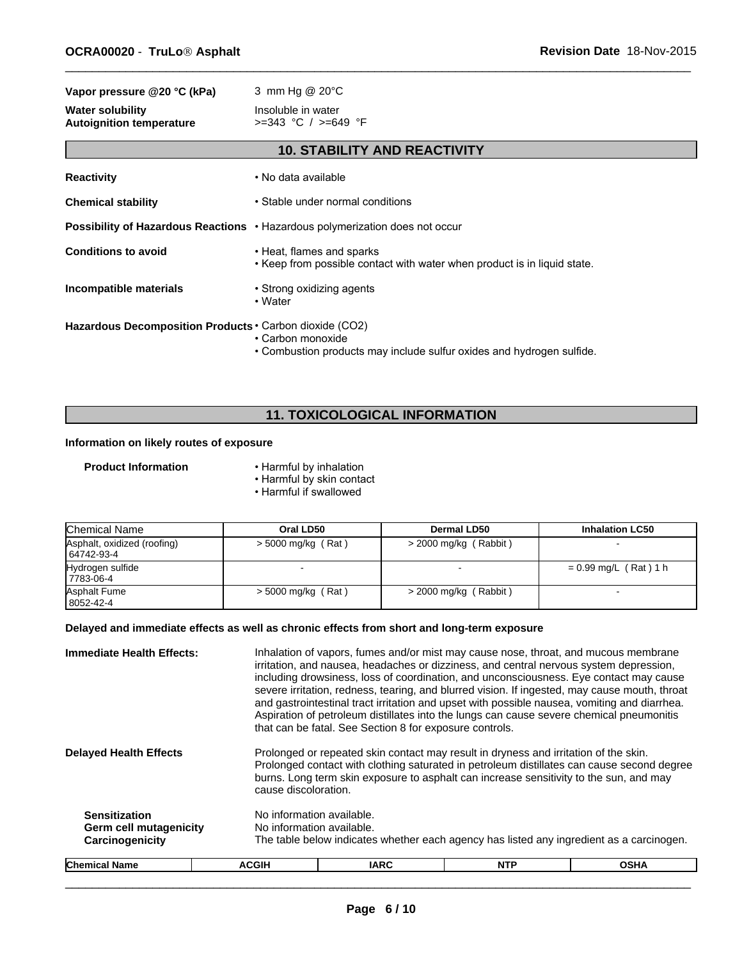| Vapor pressure @20 °C (kPa)                                | 3 mm Hg @ 20°C                                                                                        |  |  |
|------------------------------------------------------------|-------------------------------------------------------------------------------------------------------|--|--|
| <b>Water solubility</b><br><b>Autoignition temperature</b> | Insoluble in water<br>$>=343$ °C / $>=649$ °F                                                         |  |  |
|                                                            | <b>10. STABILITY AND REACTIVITY</b>                                                                   |  |  |
| <b>Reactivity</b>                                          | • No data available                                                                                   |  |  |
| <b>Chemical stability</b>                                  | • Stable under normal conditions                                                                      |  |  |
|                                                            | <b>Possibility of Hazardous Reactions • Hazardous polymerization does not occur</b>                   |  |  |
| <b>Conditions to avoid</b>                                 | • Heat, flames and sparks<br>. Keep from possible contact with water when product is in liquid state. |  |  |
| Incompatible materials                                     | • Strong oxidizing agents<br>• Water                                                                  |  |  |
| Hazardous Decomposition Products • Carbon dioxide (CO2)    | • Carbon monoxide                                                                                     |  |  |

• Combustion products may include sulfur oxides and hydrogen sulfide.

 $\overline{\phantom{a}}$  ,  $\overline{\phantom{a}}$  ,  $\overline{\phantom{a}}$  ,  $\overline{\phantom{a}}$  ,  $\overline{\phantom{a}}$  ,  $\overline{\phantom{a}}$  ,  $\overline{\phantom{a}}$  ,  $\overline{\phantom{a}}$  ,  $\overline{\phantom{a}}$  ,  $\overline{\phantom{a}}$  ,  $\overline{\phantom{a}}$  ,  $\overline{\phantom{a}}$  ,  $\overline{\phantom{a}}$  ,  $\overline{\phantom{a}}$  ,  $\overline{\phantom{a}}$  ,  $\overline{\phantom{a}}$ 

# **11. TOXICOLOGICAL INFORMATION**

#### **Information on likely routes of exposure**

- **Product Information** Harmful by inhalation
	- Harmful by skin contact **Example 2018**
	- Harmful if swallowed

| Chemical Name                             | Oral LD50            | <b>Dermal LD50</b>      | <b>Inhalation LC50</b>  |
|-------------------------------------------|----------------------|-------------------------|-------------------------|
| Asphalt, oxidized (roofing)<br>64742-93-4 | $>$ 5000 mg/kg (Rat) | $>$ 2000 mg/kg (Rabbit) |                         |
| Hydrogen sulfide<br>7783-06-4             |                      |                         | $= 0.99$ mg/L (Rat) 1 h |
| Asphalt Fume<br>8052-42-4                 | $>$ 5000 mg/kg (Rat) | $>$ 2000 mg/kg (Rabbit) |                         |

### **Delayed and immediate effects as well as chronic effects from short and long-term exposure**

| <b>Immediate Health Effects:</b>                                         |                                                        | Inhalation of vapors, fumes and/or mist may cause nose, throat, and mucous membrane<br>irritation, and nausea, headaches or dizziness, and central nervous system depression,<br>including drowsiness, loss of coordination, and unconsciousness. Eye contact may cause<br>severe irritation, redness, tearing, and blurred vision. If ingested, may cause mouth, throat<br>and gastrointestinal tract irritation and upset with possible nausea, vomiting and diarrhea.<br>Aspiration of petroleum distillates into the lungs can cause severe chemical pneumonitis<br>that can be fatal. See Section 8 for exposure controls. |                                                                                          |             |  |  |
|--------------------------------------------------------------------------|--------------------------------------------------------|---------------------------------------------------------------------------------------------------------------------------------------------------------------------------------------------------------------------------------------------------------------------------------------------------------------------------------------------------------------------------------------------------------------------------------------------------------------------------------------------------------------------------------------------------------------------------------------------------------------------------------|------------------------------------------------------------------------------------------|-------------|--|--|
| <b>Delayed Health Effects</b>                                            |                                                        | Prolonged or repeated skin contact may result in dryness and irritation of the skin.<br>Prolonged contact with clothing saturated in petroleum distillates can cause second degree<br>burns. Long term skin exposure to asphalt can increase sensitivity to the sun, and may<br>cause discoloration.                                                                                                                                                                                                                                                                                                                            |                                                                                          |             |  |  |
| <b>Sensitization</b><br><b>Germ cell mutagenicity</b><br>Carcinogenicity | No information available.<br>No information available. |                                                                                                                                                                                                                                                                                                                                                                                                                                                                                                                                                                                                                                 | The table below indicates whether each agency has listed any ingredient as a carcinogen. |             |  |  |
| <b>Chemical Name</b>                                                     | <b>ACGIH</b>                                           | <b>IARC</b>                                                                                                                                                                                                                                                                                                                                                                                                                                                                                                                                                                                                                     | <b>NTP</b>                                                                               | <b>OSHA</b> |  |  |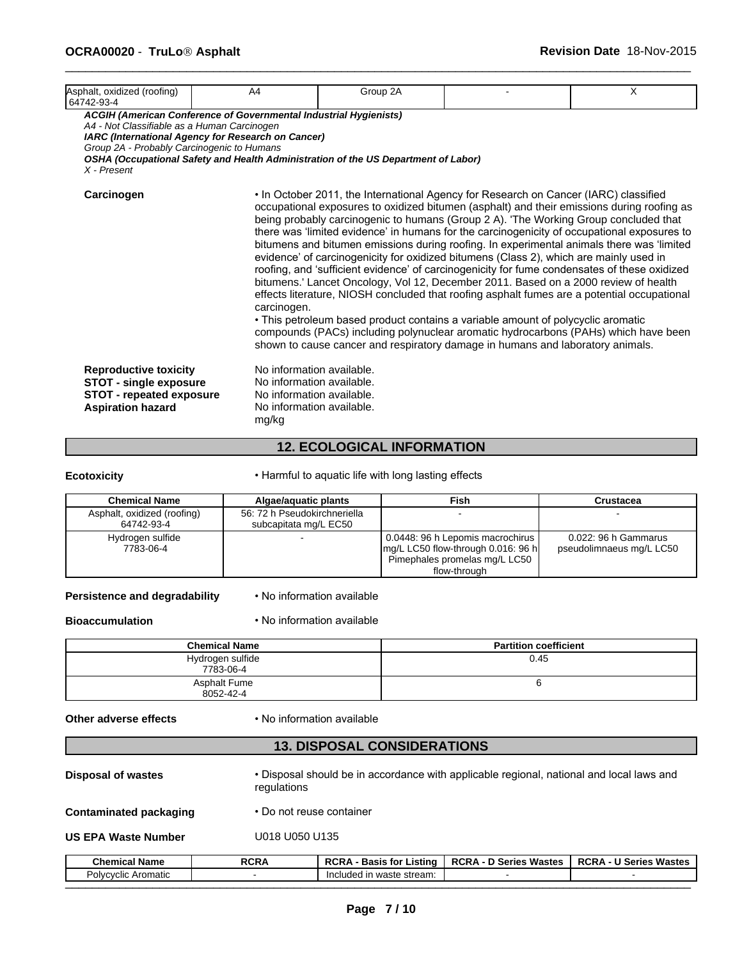| Asphalt, oxidized (roofing)<br>64742-93-4                                                                                    | A4                                                                                                                      | Group 2A                                                                                                         |                                                                                                                                                                                                                                                                                                                                                                                                                                                                                                                                                                                                                                                                                                                                                                                                                                                                                                                                                                                                                                                                                                                     | X |
|------------------------------------------------------------------------------------------------------------------------------|-------------------------------------------------------------------------------------------------------------------------|------------------------------------------------------------------------------------------------------------------|---------------------------------------------------------------------------------------------------------------------------------------------------------------------------------------------------------------------------------------------------------------------------------------------------------------------------------------------------------------------------------------------------------------------------------------------------------------------------------------------------------------------------------------------------------------------------------------------------------------------------------------------------------------------------------------------------------------------------------------------------------------------------------------------------------------------------------------------------------------------------------------------------------------------------------------------------------------------------------------------------------------------------------------------------------------------------------------------------------------------|---|
| A4 - Not Classifiable as a Human Carcinogen<br>Group 2A - Probably Carcinogenic to Humans<br>$X$ - Present                   | ACGIH (American Conference of Governmental Industrial Hygienists)<br>IARC (International Agency for Research on Cancer) | OSHA (Occupational Safety and Health Administration of the US Department of Labor)                               |                                                                                                                                                                                                                                                                                                                                                                                                                                                                                                                                                                                                                                                                                                                                                                                                                                                                                                                                                                                                                                                                                                                     |   |
| Carcinogen                                                                                                                   | carcinogen.                                                                                                             |                                                                                                                  | • In October 2011, the International Agency for Research on Cancer (IARC) classified<br>occupational exposures to oxidized bitumen (asphalt) and their emissions during roofing as<br>being probably carcinogenic to humans (Group 2 A). 'The Working Group concluded that<br>there was 'limited evidence' in humans for the carcinogenicity of occupational exposures to<br>bitumens and bitumen emissions during roofing. In experimental animals there was 'limited<br>evidence' of carcinogenicity for oxidized bitumens (Class 2), which are mainly used in<br>roofing, and 'sufficient evidence' of carcinogenicity for fume condensates of these oxidized<br>bitumens.' Lancet Oncology, Vol 12, December 2011. Based on a 2000 review of health<br>effects literature, NIOSH concluded that roofing asphalt fumes are a potential occupational<br>• This petroleum based product contains a variable amount of polycyclic aromatic<br>compounds (PACs) including polynuclear aromatic hydrocarbons (PAHs) which have been<br>shown to cause cancer and respiratory damage in humans and laboratory animals. |   |
| <b>Reproductive toxicity</b><br><b>STOT - single exposure</b><br><b>STOT - repeated exposure</b><br><b>Aspiration hazard</b> | mg/kg                                                                                                                   | No information available.<br>No information available.<br>No information available.<br>No information available. |                                                                                                                                                                                                                                                                                                                                                                                                                                                                                                                                                                                                                                                                                                                                                                                                                                                                                                                                                                                                                                                                                                                     |   |

#### **12. ECOLOGICAL INFORMATION**

**Ecotoxicity** • Harmful to aquatic life with long lasting effects

| <b>Chemical Name</b>        | Algae/aguatic plants         | Fish                                         | Crustacea                |
|-----------------------------|------------------------------|----------------------------------------------|--------------------------|
| Asphalt, oxidized (roofing) | 56: 72 h Pseudokirchneriella |                                              |                          |
| 64742-93-4                  | subcapitata mg/L EC50        |                                              |                          |
| Hydrogen sulfide            |                              | 0.0448: 96 h Lepomis macrochirus             | 0.022: 96 h Gammarus     |
| 7783-06-4                   |                              | $\lfloor$ mg/L LC50 flow-through 0.016: 96 h | pseudolimnaeus mg/L LC50 |
|                             |                              | Pimephales promelas mg/L LC50                |                          |
|                             |                              | flow-through                                 |                          |

**Persistence and degradability** • No information available

#### **Bioaccumulation** • No information available

| <b>Chemical Name</b>          | <b>Partition coefficient</b> |
|-------------------------------|------------------------------|
| Hydrogen sulfide<br>7783-06-4 | 0.45                         |
| Asphalt Fume<br>8052-42-4     |                              |

#### **Other adverse effects** • No information available

# **13. DISPOSAL CONSIDERATIONS**

**Disposal of wastes** • Disposal should be in accordance with applicable regional, national and local laws and regulations

**Contaminated packaging • Donot reuse container** 

**US EPA Waste Number** U018 U050 U135

| Chemical<br>∪ Name                 | <b>RCRA</b> | <b>DOD</b><br>∟istinc<br>Basis toi<br>่ …<br>nur, | <br><b>DOD</b><br>Series<br>Mactac<br>RURA<br>шаысы<br>◡ | Wastes<br>DOD 1<br>. .<br>Series<br>RURA |
|------------------------------------|-------------|---------------------------------------------------|----------------------------------------------------------|------------------------------------------|
| Aromatic<br>∵∼ت<br><b>IVCVCIIC</b> |             | Included<br>' in waste stream:                    |                                                          |                                          |
|                                    |             |                                                   |                                                          |                                          |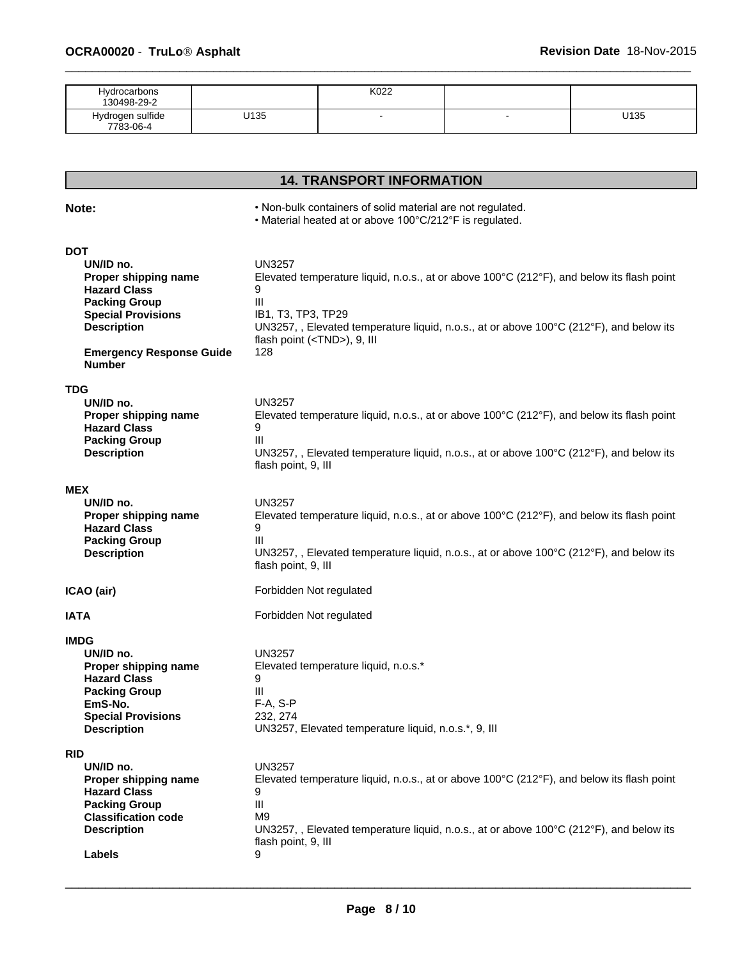| <b>Hydrocarbons</b><br>130498-29-2 |      | K022 |     |      |
|------------------------------------|------|------|-----|------|
| Hydrogen sulfide<br>7783-06-4      | U135 | . .  | . . | U135 |

# **14. TRANSPORT INFORMATION**

**Note: •** *•* **Non-bulk containers of solid material are not regulated. <b>***note: note: note: note: note: note: note: note: note: note: note: note: note: note: note:* 

• Material heated at or above 100°C/212°F is regulated.

| <b>DOT</b>                                                                                                                                                    |                                                                                                                                                 |
|---------------------------------------------------------------------------------------------------------------------------------------------------------------|-------------------------------------------------------------------------------------------------------------------------------------------------|
| UN/ID no.                                                                                                                                                     | <b>UN3257</b>                                                                                                                                   |
| Proper shipping name                                                                                                                                          | Elevated temperature liquid, n.o.s., at or above $100^{\circ}C(212^{\circ}F)$ , and below its flash point                                       |
| <b>Hazard Class</b>                                                                                                                                           | 9                                                                                                                                               |
| <b>Packing Group</b>                                                                                                                                          | III                                                                                                                                             |
| <b>Special Provisions</b>                                                                                                                                     | IB1, T3, TP3, TP29                                                                                                                              |
| <b>Description</b>                                                                                                                                            | UN3257, , Elevated temperature liquid, n.o.s., at or above 100°C (212°F), and below its                                                         |
| <b>Emergency Response Guide</b>                                                                                                                               | flash point ( <tnd>), 9, III</tnd>                                                                                                              |
| <b>Number</b>                                                                                                                                                 | 128                                                                                                                                             |
| <b>TDG</b>                                                                                                                                                    | <b>UN3257</b>                                                                                                                                   |
| UN/ID no.                                                                                                                                                     | Elevated temperature liquid, n.o.s., at or above 100°C (212°F), and below its flash point                                                       |
| Proper shipping name                                                                                                                                          | 9                                                                                                                                               |
| <b>Hazard Class</b>                                                                                                                                           | Ш                                                                                                                                               |
| <b>Packing Group</b>                                                                                                                                          | UN3257, , Elevated temperature liquid, n.o.s., at or above 100°C (212°F), and below its                                                         |
| <b>Description</b>                                                                                                                                            | flash point, 9, III                                                                                                                             |
| <b>MEX</b>                                                                                                                                                    | <b>UN3257</b>                                                                                                                                   |
| UN/ID no.                                                                                                                                                     | Elevated temperature liquid, n.o.s., at or above 100°C (212°F), and below its flash point                                                       |
| Proper shipping name                                                                                                                                          | 9                                                                                                                                               |
| <b>Hazard Class</b>                                                                                                                                           | Ш                                                                                                                                               |
| <b>Packing Group</b>                                                                                                                                          | UN3257, , Elevated temperature liquid, n.o.s., at or above 100 $\degree$ C (212 $\degree$ F), and below its                                     |
| <b>Description</b>                                                                                                                                            | flash point, 9, III                                                                                                                             |
| ICAO (air)                                                                                                                                                    | Forbidden Not regulated                                                                                                                         |
| <b>IATA</b>                                                                                                                                                   | Forbidden Not regulated                                                                                                                         |
| <b>IMDG</b><br>UN/ID no.<br>Proper shipping name<br><b>Hazard Class</b><br><b>Packing Group</b><br>EmS-No.<br><b>Special Provisions</b><br><b>Description</b> | <b>UN3257</b><br>Elevated temperature liquid, n.o.s.*<br>9<br>Ш<br>F-A, S-P<br>232, 274<br>UN3257, Elevated temperature liquid, n.o.s.*, 9, III |
| <b>RID</b>                                                                                                                                                    | <b>UN3257</b>                                                                                                                                   |
| UN/ID no.                                                                                                                                                     | Elevated temperature liquid, n.o.s., at or above 100°C (212°F), and below its flash point                                                       |
| Proper shipping name                                                                                                                                          | 9                                                                                                                                               |
| <b>Hazard Class</b>                                                                                                                                           | Ш                                                                                                                                               |
| <b>Packing Group</b>                                                                                                                                          | M9                                                                                                                                              |
| <b>Classification code</b>                                                                                                                                    | UN3257, , Elevated temperature liquid, n.o.s., at or above 100°C (212°F), and below its                                                         |
| <b>Description</b>                                                                                                                                            | flash point, 9, III                                                                                                                             |
| Labels                                                                                                                                                        | 9                                                                                                                                               |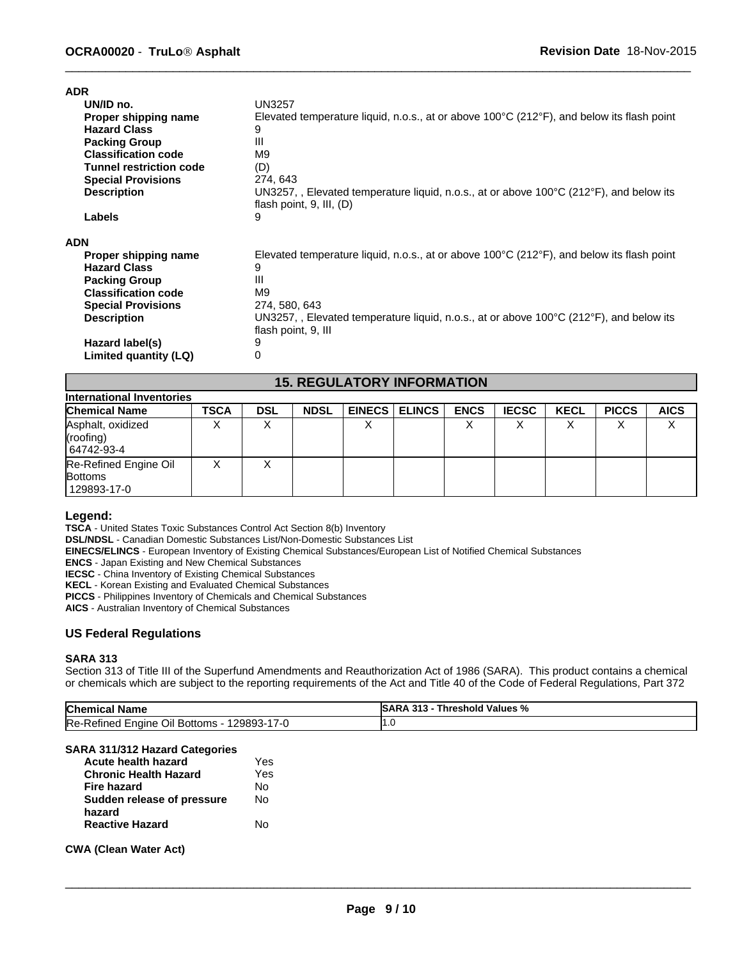| <b>ADR</b>                     |                                                                                                                                              |
|--------------------------------|----------------------------------------------------------------------------------------------------------------------------------------------|
| UN/ID no.                      | <b>UN3257</b>                                                                                                                                |
| Proper shipping name           | Elevated temperature liquid, n.o.s., at or above 100°C (212°F), and below its flash point                                                    |
| <b>Hazard Class</b>            | 9                                                                                                                                            |
| <b>Packing Group</b>           | Ш                                                                                                                                            |
| <b>Classification code</b>     | M <sub>9</sub>                                                                                                                               |
| <b>Tunnel restriction code</b> | (D)                                                                                                                                          |
| <b>Special Provisions</b>      | 274, 643                                                                                                                                     |
| <b>Description</b>             | UN3257, , Elevated temperature liquid, n.o.s., at or above 100 $\degree$ C (212 $\degree$ F), and below its<br>flash point, $9$ , III, $(D)$ |
| <b>Labels</b>                  | 9                                                                                                                                            |
| <b>ADN</b>                     |                                                                                                                                              |
| Proper shipping name           | Elevated temperature liquid, n.o.s., at or above 100 $\degree$ C (212 $\degree$ F), and below its flash point                                |
| <b>Hazard Class</b>            | 9                                                                                                                                            |
| <b>Packing Group</b>           | Ш                                                                                                                                            |
| <b>Classification code</b>     | M <sub>9</sub>                                                                                                                               |
| <b>Special Provisions</b>      | 274, 580, 643                                                                                                                                |
| <b>Description</b>             | UN3257, , Elevated temperature liquid, n.o.s., at or above 100 $\degree$ C (212 $\degree$ F), and below its                                  |
|                                | flash point, 9, III                                                                                                                          |
| Hazard label(s)                | 9                                                                                                                                            |
| Limited quantity (LQ)          | 0                                                                                                                                            |
|                                |                                                                                                                                              |

# **15. REGULATORY INFORMATION**

| International Inventories                                |             |                   |             |               |          |             |              |             |              |             |
|----------------------------------------------------------|-------------|-------------------|-------------|---------------|----------|-------------|--------------|-------------|--------------|-------------|
| <b>Chemical Name</b>                                     | <b>TSCA</b> | <b>DSL</b>        | <b>NDSL</b> | <b>EINECS</b> | I ELINCS | <b>ENCS</b> | <b>IECSC</b> | <b>KECL</b> | <b>PICCS</b> | <b>AICS</b> |
| Asphalt, oxidized<br>(roofing)<br>64742-93-4             |             | $\checkmark$<br>↗ |             |               |          | $\cdot$     |              | v           |              | ⌒           |
| Re-Refined Engine Oil<br><b>Bottoms</b><br>  129893-17-0 |             | Λ                 |             |               |          |             |              |             |              |             |

#### **Legend:**

**TSCA** - United States Toxic Substances Control Act Section 8(b) Inventory

**DSL/NDSL** - Canadian Domestic Substances List/Non-Domestic Substances List

**EINECS/ELINCS** - European Inventory of Existing Chemical Substances/European List of Notified Chemical Substances

**ENCS** - Japan Existing and New Chemical Substances

**IECSC** - China Inventory of Existing Chemical Substances

**KECL** - Korean Existing and Evaluated Chemical Substances

**PICCS** - Philippines Inventory of Chemicals and Chemical Substances

**AICS** - Australian Inventory of Chemical Substances

#### **US Federal Regulations**

#### **SARA 313**

Section 313 of Title III of the Superfund Amendments and Reauthorization Act of 1986 (SARA). This product contains a chemical or chemicals which are subject to the reporting requirements of the Act and Title 40 of the Code of Federal Regulations, Part 372

| <b>Chemical Name</b>                        | <b>SARA 313 - Threshold Values %</b> |
|---------------------------------------------|--------------------------------------|
| Re-Refined Engine Oil Bottoms - 129893-17-0 |                                      |
| SARA 311/312 Hazard Categories              |                                      |

| SARA 311/312 Hazard Categories |  |  |  |
|--------------------------------|--|--|--|
|                                |  |  |  |

| Yes |
|-----|
| Yes |
| N٥  |
| N٥  |
|     |
| N٥  |
|     |

#### **CWA (Clean Water Act)**